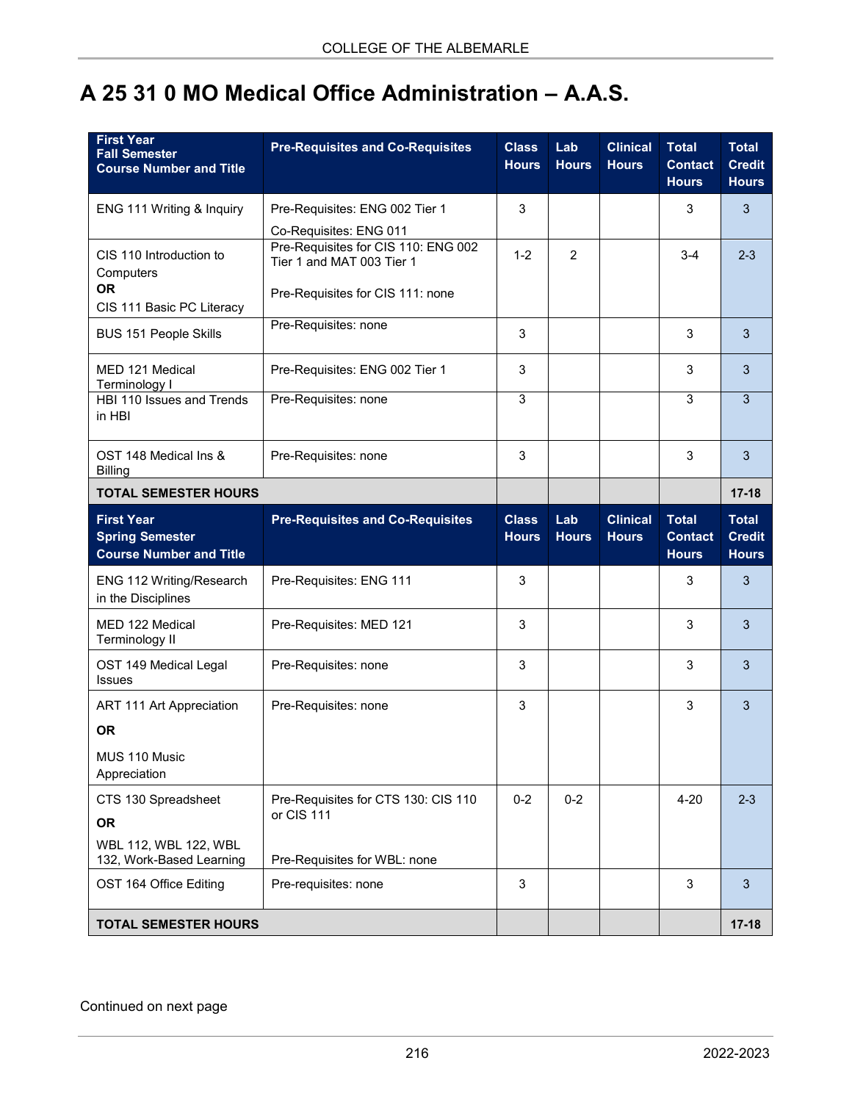## **A 25 31 0 MO Medical Office Administration – A.A.S.**

| <b>First Year</b><br><b>Fall Semester</b><br><b>Course Number and Title</b>           | <b>Pre-Requisites and Co-Requisites</b>                                                                                        | <b>Class</b><br><b>Hours</b> | Lab<br><b>Hours</b> | <b>Clinical</b><br><b>Hours</b> | <b>Total</b><br><b>Contact</b><br><b>Hours</b> | <b>Total</b><br><b>Credit</b><br><b>Hours</b> |
|---------------------------------------------------------------------------------------|--------------------------------------------------------------------------------------------------------------------------------|------------------------------|---------------------|---------------------------------|------------------------------------------------|-----------------------------------------------|
| ENG 111 Writing & Inquiry                                                             | Pre-Requisites: ENG 002 Tier 1                                                                                                 | 3                            |                     |                                 | 3                                              | 3                                             |
| CIS 110 Introduction to<br>Computers<br><b>OR</b><br>CIS 111 Basic PC Literacy        | Co-Requisites: ENG 011<br>Pre-Requisites for CIS 110: ENG 002<br>Tier 1 and MAT 003 Tier 1<br>Pre-Requisites for CIS 111: none | $1 - 2$                      | $\overline{2}$      |                                 | $3 - 4$                                        | $2 - 3$                                       |
| <b>BUS 151 People Skills</b>                                                          | Pre-Requisites: none                                                                                                           | 3                            |                     |                                 | 3                                              | 3                                             |
| MED 121 Medical<br>Terminology I                                                      | Pre-Requisites: ENG 002 Tier 1                                                                                                 | 3                            |                     |                                 | 3                                              | 3                                             |
| HBI 110 Issues and Trends<br>in HBI                                                   | Pre-Requisites: none                                                                                                           | 3                            |                     |                                 | 3                                              | $\overline{3}$                                |
| OST 148 Medical Ins &<br><b>Billing</b>                                               | Pre-Requisites: none                                                                                                           | 3                            |                     |                                 | 3                                              | 3                                             |
| <b>TOTAL SEMESTER HOURS</b>                                                           |                                                                                                                                |                              |                     |                                 |                                                | $17 - 18$                                     |
| <b>First Year</b><br><b>Spring Semester</b><br><b>Course Number and Title</b>         | <b>Pre-Requisites and Co-Requisites</b>                                                                                        | <b>Class</b><br><b>Hours</b> | Lab<br><b>Hours</b> | <b>Clinical</b><br><b>Hours</b> | <b>Total</b><br><b>Contact</b><br><b>Hours</b> | <b>Total</b><br><b>Credit</b><br><b>Hours</b> |
| ENG 112 Writing/Research<br>in the Disciplines                                        | Pre-Requisites: ENG 111                                                                                                        | 3                            |                     |                                 | 3                                              | 3                                             |
| MED 122 Medical<br>Terminology II                                                     | Pre-Requisites: MED 121                                                                                                        | 3                            |                     |                                 | 3                                              | 3                                             |
| OST 149 Medical Legal<br><b>Issues</b>                                                | Pre-Requisites: none                                                                                                           | 3                            |                     |                                 | 3                                              | 3                                             |
| ART 111 Art Appreciation<br><b>OR</b><br>MUS 110 Music<br>Appreciation                | Pre-Requisites: none                                                                                                           | 3                            |                     |                                 | 3                                              | 3                                             |
| CTS 130 Spreadsheet<br><b>OR</b><br>WBL 112, WBL 122, WBL<br>132, Work-Based Learning | Pre-Requisites for CTS 130: CIS 110<br>or CIS 111<br>Pre-Requisites for WBL: none                                              | $0 - 2$                      | $0 - 2$             |                                 | $4 - 20$                                       | $2 - 3$                                       |
| OST 164 Office Editing                                                                | Pre-requisites: none                                                                                                           | 3                            |                     |                                 | 3                                              | 3                                             |
| <b>TOTAL SEMESTER HOURS</b>                                                           |                                                                                                                                |                              |                     |                                 |                                                | $17 - 18$                                     |